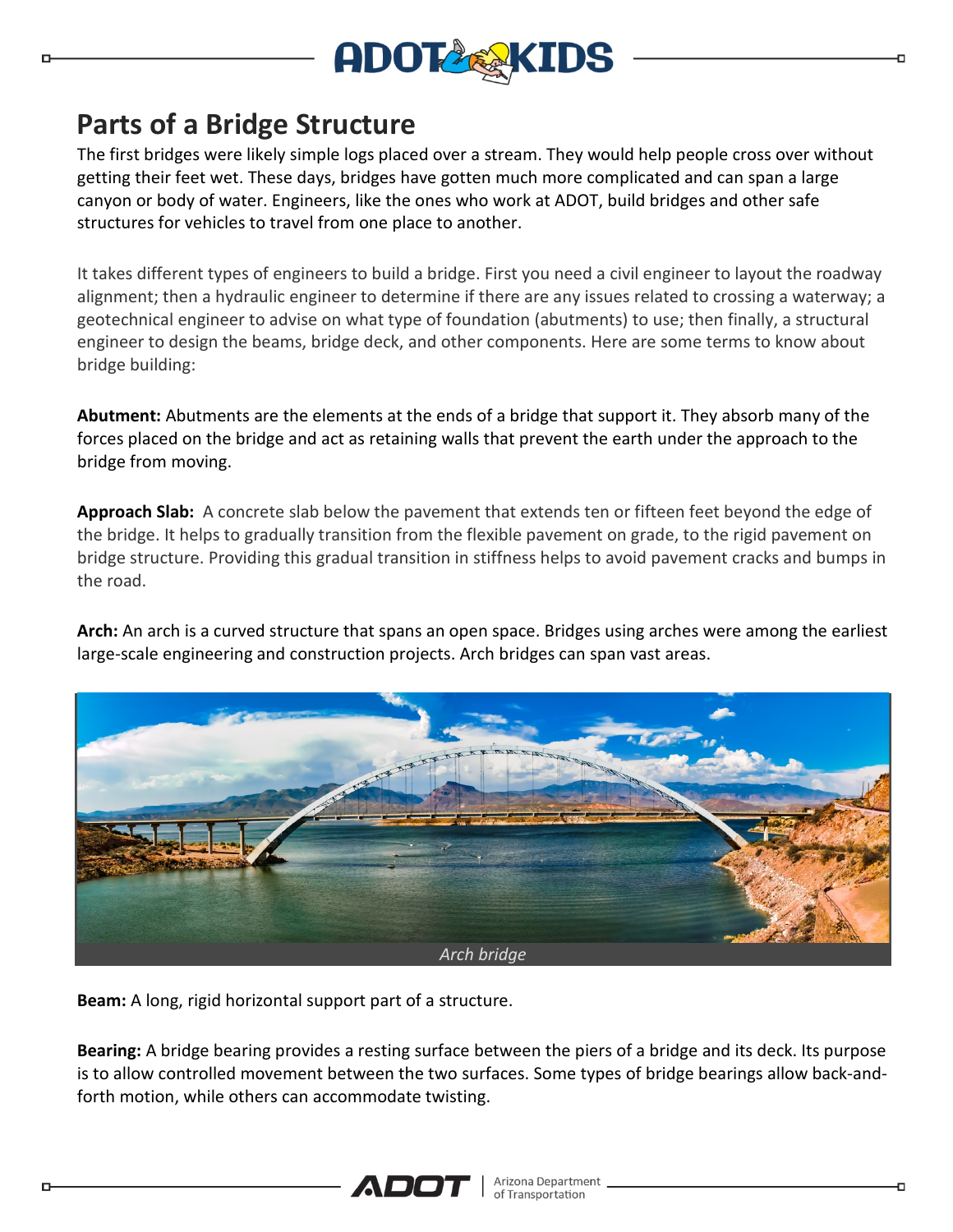

## **Parts of a Bridge Structure**

The first bridges were likely simple logs placed over a stream. They would help people cross over without getting their feet wet. These days, bridges have gotten much more complicated and can span a large canyon or body of water. Engineers, like the ones who work at ADOT, build bridges and other safe structures for vehicles to travel from one place to another.

It takes different types of engineers to build a bridge. First you need a civil engineer to layout the roadway alignment; then a hydraulic engineer to determine if there are any issues related to crossing a waterway; a geotechnical engineer to advise on what type of foundation (abutments) to use; then finally, a structural engineer to design the beams, bridge deck, and other components. Here are some terms to know about bridge building:

**Abutment:** Abutments are the elements at the ends of a bridge that support it. They absorb many of the forces placed on the bridge and act as retaining walls that prevent the earth under the approach to the bridge from moving.

**Approach Slab:** A concrete slab below the pavement that extends ten or fifteen feet beyond the edge of the bridge. It helps to gradually transition from the flexible pavement on grade, to the rigid pavement on bridge structure. Providing this gradual transition in stiffness helps to avoid pavement cracks and bumps in the road.

**Arch:** An arch is a curved structure that spans an open space. Bridges using arches were among the earliest large-scale engineering and construction projects. Arch bridges can span vast areas.



**Beam:** A long, rigid horizontal support part of a structure.

**Bearing:** A bridge bearing provides a resting surface between the piers of a bridge and its deck. Its purpose is to allow controlled movement between the two surfaces. Some types of bridge bearings allow back-andforth motion, while others can accommodate twisting.

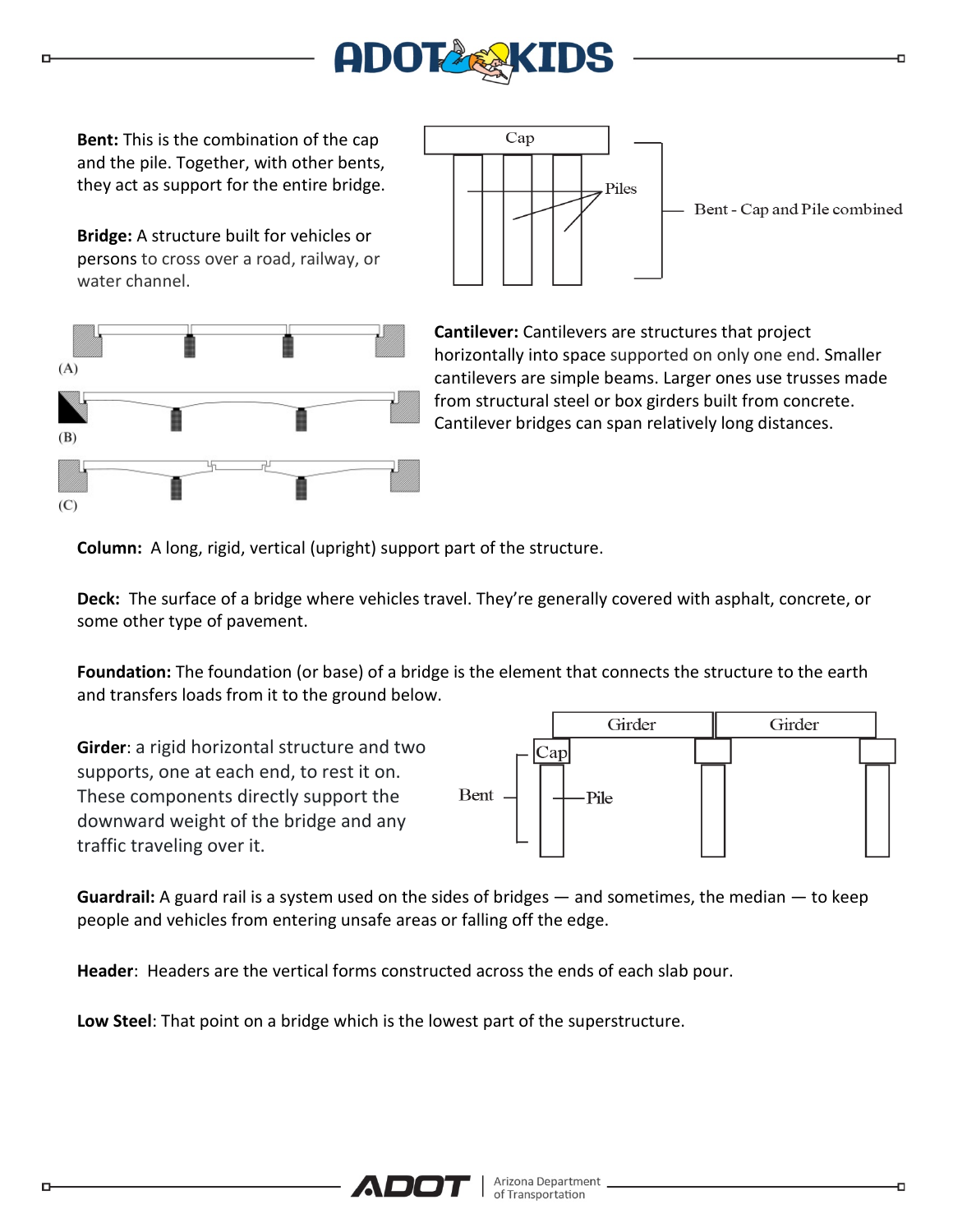

**Bent:** This is the combination of the cap and the pile. Together, with other bents, they act as support for the entire bridge.

**Bridge:** A structure built for vehicles or persons to cross over a road, railway, or water channel.





**Cantilever:** Cantilevers are structures that project horizontally into space supported on only one end. Smaller cantilevers are simple beams. Larger ones use trusses made from structural steel or box girders built from concrete. Cantilever bridges can span relatively long distances.

**Column:** A long, rigid, vertical (upright) support part of the structure.

**Deck:** The surface of a bridge where vehicles travel. They're generally covered with asphalt, concrete, or some other type of pavement.

**Foundation:** The foundation (or base) of a bridge is the element that connects the structure to the earth and transfers loads from it to the ground below.

**Girder**: a rigid horizontal structure and two supports, one at each end, to rest it on. These components directly support the downward weight of the bridge and any traffic traveling over it.



**Guardrail:** A guard rail is a system used on the sides of bridges — and sometimes, the median — to keep people and vehicles from entering unsafe areas or falling off the edge.

**Header**: Headers are the vertical forms constructed across the ends of each slab pour.

**Low Steel**: That point on a bridge which is the lowest part of the superstructure.